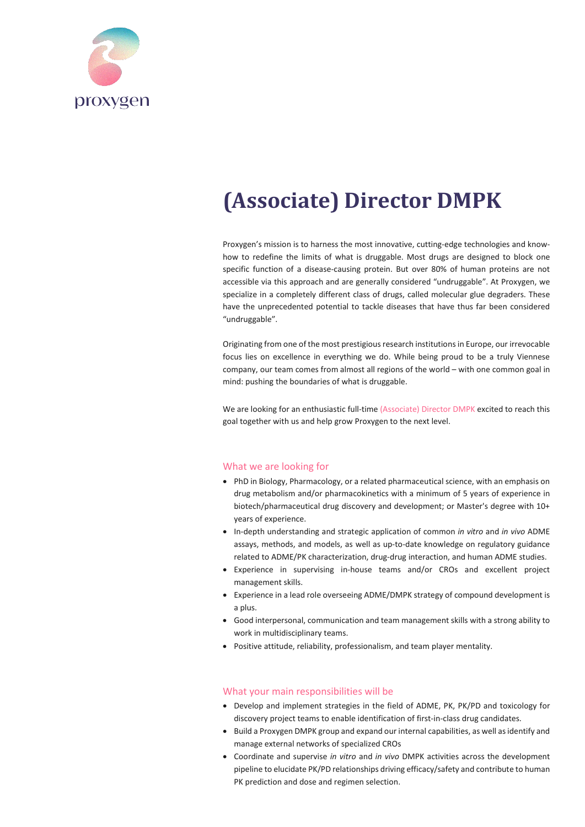

# **(Associate) Director DMPK**

Proxygen's mission is to harness the most innovative, cutting-edge technologies and knowhow to redefine the limits of what is druggable. Most drugs are designed to block one specific function of a disease-causing protein. But over 80% of human proteins are not accessible via this approach and are generally considered "undruggable". At Proxygen, we specialize in a completely different class of drugs, called molecular glue degraders. These have the unprecedented potential to tackle diseases that have thus far been considered "undruggable".

Originating from one of the most prestigious research institutions in Europe, our irrevocable focus lies on excellence in everything we do. While being proud to be a truly Viennese company, our team comes from almost all regions of the world – with one common goal in mind: pushing the boundaries of what is druggable.

We are looking for an enthusiastic full-time (Associate) Director DMPK excited to reach this goal together with us and help grow Proxygen to the next level.

# What we are looking for

- PhD in Biology, Pharmacology, or a related pharmaceutical science, with an emphasis on drug metabolism and/or pharmacokinetics with a minimum of 5 years of experience in biotech/pharmaceutical drug discovery and development; or Master's degree with 10+ years of experience.
- In-depth understanding and strategic application of common *in vitro* and *in vivo* ADME assays, methods, and models, as well as up-to-date knowledge on regulatory guidance related to ADME/PK characterization, drug-drug interaction, and human ADME studies.
- Experience in supervising in-house teams and/or CROs and excellent project management skills.
- Experience in a lead role overseeing ADME/DMPK strategy of compound development is a plus.
- Good interpersonal, communication and team management skills with a strong ability to work in multidisciplinary teams.
- Positive attitude, reliability, professionalism, and team player mentality.

#### What your main responsibilities will be

- Develop and implement strategies in the field of ADME, PK, PK/PD and toxicology for discovery project teams to enable identification of first-in-class drug candidates.
- Build a Proxygen DMPK group and expand our internal capabilities, as well as identify and manage external networks of specialized CROs
- Coordinate and supervise *in vitro* and *in vivo* DMPK activities across the development pipeline to elucidate PK/PD relationships driving efficacy/safety and contribute to human PK prediction and dose and regimen selection.